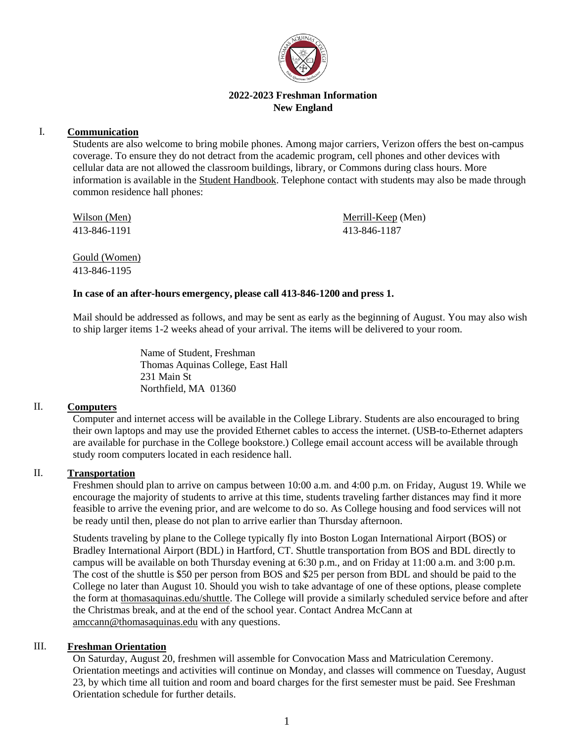

## **2022-2023 Freshman Information New England**

## I. **Communication**

Students are also welcome to bring mobile phones. Among major carriers, Verizon offers the best on-campus coverage. To ensure they do not detract from the academic program, cell phones and other devices with cellular data are not allowed the classroom buildings, library, or Commons during class hours. More information is available in the [Student Handbook.](https://www.thomasaquinas.edu/students/new-england-code-conduct) Telephone contact with students may also be made through common residence hall phones:

Wilson (Men) 413-846-1191

Merrill-Keep (Men) 413-846-1187

Gould (Women) 413-846-1195

### **In case of an after-hours emergency, please call 413-846-1200 and press 1.**

Mail should be addressed as follows, and may be sent as early as the beginning of August. You may also wish to ship larger items 1-2 weeks ahead of your arrival. The items will be delivered to your room.

> Name of Student, Freshman Thomas Aquinas College, East Hall 231 Main St Northfield, MA 01360

### II. **Computers**

Computer and internet access will be available in the College Library. Students are also encouraged to bring their own laptops and may use the provided Ethernet cables to access the internet. (USB-to-Ethernet adapters are available for purchase in the College bookstore.) College email account access will be available through study room computers located in each residence hall.

# II. **Transportation**

Freshmen should plan to arrive on campus between 10:00 a.m. and 4:00 p.m. on Friday, August 19. While we encourage the majority of students to arrive at this time, students traveling farther distances may find it more feasible to arrive the evening prior, and are welcome to do so. As College housing and food services will not be ready until then, please do not plan to arrive earlier than Thursday afternoon.

Students traveling by plane to the College typically fly into Boston Logan International Airport (BOS) or Bradley International Airport (BDL) in Hartford, CT. Shuttle transportation from BOS and BDL directly to campus will be available on both Thursday evening at 6:30 p.m., and on Friday at 11:00 a.m. and 3:00 p.m. The cost of the shuttle is \$50 per person from BOS and \$25 per person from BDL and should be paid to the College no later than August 10. Should you wish to take advantage of one of these options, please complete the form at [thomasaquinas.edu/shuttle.](https://www.thomasaquinas.edu/shuttle) The College will provide a similarly scheduled service before and after the Christmas break, and at the end of the school year. Contact Andrea McCann at [amccann@thomasaquinas.edu](mailto:amccann@thomasaquinas.edu) with any questions.

### III. **Freshman Orientation**

On Saturday, August 20, freshmen will assemble for Convocation Mass and Matriculation Ceremony. Orientation meetings and activities will continue on Monday, and classes will commence on Tuesday, August 23, by which time all tuition and room and board charges for the first semester must be paid. See Freshman Orientation schedule for further details.